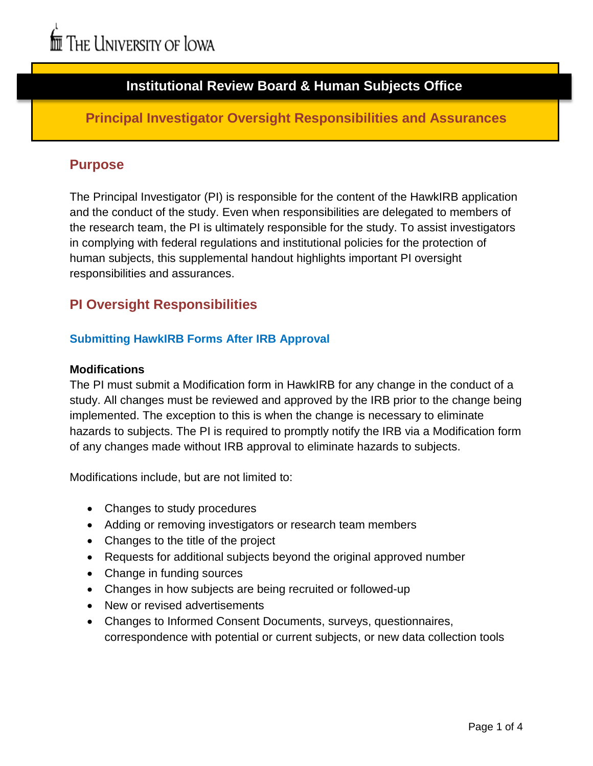# **Institutional Review Board & Human Subjects Office**

# **Principal Investigator Oversight Responsibilities and Assurances**

### **Purpose**

The Principal Investigator (PI) is responsible for the content of the HawkIRB application and the conduct of the study. Even when responsibilities are delegated to members of the research team, the PI is ultimately responsible for the study. To assist investigators in complying with federal regulations and institutional policies for the protection of human subjects, this supplemental handout highlights important PI oversight responsibilities and assurances.

# **PI Oversight Responsibilities**

### **Submitting HawkIRB Forms After IRB Approval**

#### **Modifications**

The PI must submit a Modification form in HawkIRB for any change in the conduct of a study. All changes must be reviewed and approved by the IRB prior to the change being implemented. The exception to this is when the change is necessary to eliminate hazards to subjects. The PI is required to promptly notify the IRB via a Modification form of any changes made without IRB approval to eliminate hazards to subjects.

Modifications include, but are not limited to:

- Changes to study procedures
- Adding or removing investigators or research team members
- Changes to the title of the project
- Requests for additional subjects beyond the original approved number
- Change in funding sources
- Changes in how subjects are being recruited or followed-up
- New or revised advertisements
- Changes to Informed Consent Documents, surveys, questionnaires, correspondence with potential or current subjects, or new data collection tools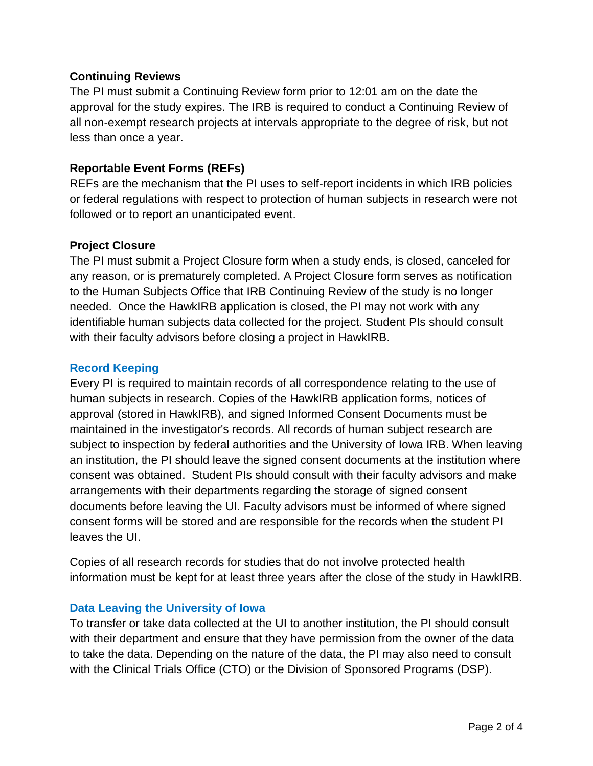#### **Continuing Reviews**

The PI must submit a Continuing Review form prior to 12:01 am on the date the approval for the study expires. The IRB is required to conduct a Continuing Review of all non-exempt research projects at intervals appropriate to the degree of risk, but not less than once a year.

### **Reportable Event Forms (REFs)**

REFs are the mechanism that the PI uses to self-report incidents in which IRB policies or federal regulations with respect to protection of human subjects in research were not followed or to report an unanticipated event.

### **Project Closure**

The PI must submit a Project Closure form when a study ends, is closed, canceled for any reason, or is prematurely completed. A Project Closure form serves as notification to the Human Subjects Office that IRB Continuing Review of the study is no longer needed. Once the HawkIRB application is closed, the PI may not work with any identifiable human subjects data collected for the project. Student PIs should consult with their faculty advisors before closing a project in HawkIRB.

#### **Record Keeping**

Every PI is required to maintain records of all correspondence relating to the use of human subjects in research. Copies of the HawkIRB application forms, notices of approval (stored in HawkIRB), and signed Informed Consent Documents must be maintained in the investigator's records. All records of human subject research are subject to inspection by federal authorities and the University of Iowa IRB. When leaving an institution, the PI should leave the signed consent documents at the institution where consent was obtained. Student PIs should consult with their faculty advisors and make arrangements with their departments regarding the storage of signed consent documents before leaving the UI. Faculty advisors must be informed of where signed consent forms will be stored and are responsible for the records when the student PI leaves the UI.

Copies of all research records for studies that do not involve protected health information must be kept for at least three years after the close of the study in HawkIRB.

### **Data Leaving the University of Iowa**

To transfer or take data collected at the UI to another institution, the PI should consult with their department and ensure that they have permission from the owner of the data to take the data. Depending on the nature of the data, the PI may also need to consult with the Clinical Trials Office (CTO) or the Division of Sponsored Programs (DSP).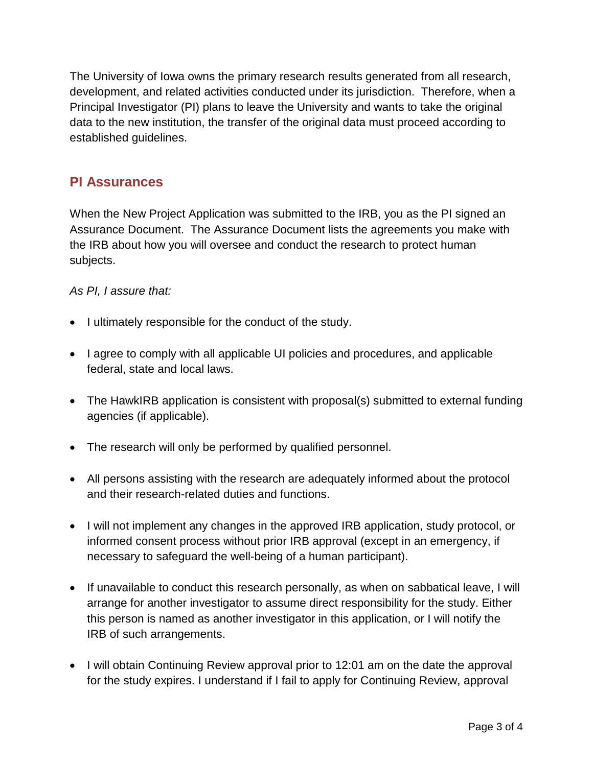The University of Iowa owns the primary research results generated from all research, development, and related activities conducted under its jurisdiction. Therefore, when a Principal Investigator (PI) plans to leave the University and wants to take the original data to the new institution, the transfer of the original data must proceed according to established guidelines.

# **PI Assurances**

When the New Project Application was submitted to the IRB, you as the PI signed an Assurance Document. The Assurance Document lists the agreements you make with the IRB about how you will oversee and conduct the research to protect human subjects.

#### *As PI, I assure that:*

- I ultimately responsible for the conduct of the study.
- I agree to comply with all applicable UI policies and procedures, and applicable federal, state and local laws.
- The HawkIRB application is consistent with proposal(s) submitted to external funding agencies (if applicable).
- The research will only be performed by qualified personnel.
- All persons assisting with the research are adequately informed about the protocol and their research-related duties and functions.
- I will not implement any changes in the approved IRB application, study protocol, or informed consent process without prior IRB approval (except in an emergency, if necessary to safeguard the well-being of a human participant).
- If unavailable to conduct this research personally, as when on sabbatical leave, I will arrange for another investigator to assume direct responsibility for the study. Either this person is named as another investigator in this application, or I will notify the IRB of such arrangements.
- I will obtain Continuing Review approval prior to 12:01 am on the date the approval for the study expires. I understand if I fail to apply for Continuing Review, approval